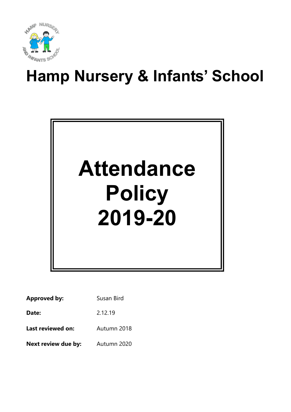

# Hamp Nursery & Infants' School



| <b>Approved by:</b> | Susan Bird  |  |
|---------------------|-------------|--|
| Date:               | 2.12.19     |  |
| Last reviewed on:   | Autumn 2018 |  |
| Next review due by: | Autumn 2020 |  |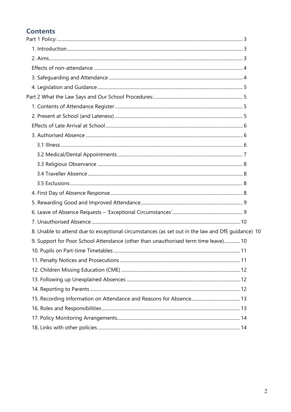# **Contents**

| 8. Unable to attend due to exceptional circumstances (as set out in the law and DfE guidance) 10 |  |
|--------------------------------------------------------------------------------------------------|--|
| 9. Support for Poor School Attendance (other than unauthorised term time leave) 10               |  |
|                                                                                                  |  |
|                                                                                                  |  |
|                                                                                                  |  |
|                                                                                                  |  |
|                                                                                                  |  |
|                                                                                                  |  |
|                                                                                                  |  |
|                                                                                                  |  |
|                                                                                                  |  |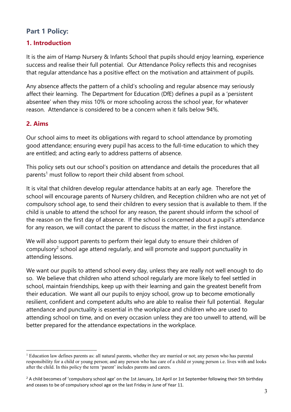# Part 1 Policy:

# 1. Introduction

It is the aim of Hamp Nursery & Infants School that pupils should enjoy learning, experience success and realise their full potential. Our Attendance Policy reflects this and recognises that regular attendance has a positive effect on the motivation and attainment of pupils.

Any absence affects the pattern of a child's schooling and regular absence may seriously affect their learning. The Department for Education (DfE) defines a pupil as a 'persistent absentee' when they miss 10% or more schooling across the school year, for whatever reason. Attendance is considered to be a concern when it falls below 94%.

# 2. Aims

 $\overline{a}$ 

Our school aims to meet its obligations with regard to school attendance by promoting good attendance; ensuring every pupil has access to the full-time education to which they are entitled; and acting early to address patterns of absence.

This policy sets out our school's position on attendance and details the procedures that all parents<sup>1</sup> must follow to report their child absent from school.

It is vital that children develop regular attendance habits at an early age. Therefore the school will encourage parents of Nursery children, and Reception children who are not yet of compulsory school age, to send their children to every session that is available to them. If the child is unable to attend the school for any reason, the parent should inform the school of the reason on the first day of absence. If the school is concerned about a pupil's attendance for any reason, we will contact the parent to discuss the matter, in the first instance.

We will also support parents to perform their legal duty to ensure their children of compulsory<sup>2</sup> school age attend regularly, and will promote and support punctuality in attending lessons.

We want our pupils to attend school every day, unless they are really not well enough to do so. We believe that children who attend school regularly are more likely to feel settled in school, maintain friendships, keep up with their learning and gain the greatest benefit from their education. We want all our pupils to enjoy school, grow up to become emotionally resilient, confident and competent adults who are able to realise their full potential. Regular attendance and punctuality is essential in the workplace and children who are used to attending school on time, and on every occasion unless they are too unwell to attend, will be better prepared for the attendance expectations in the workplace.

<sup>&</sup>lt;sup>1</sup> Education law defines parents as: all natural parents, whether they are married or not; any person who has parental responsibility for a child or young person; and any person who has care of a child or young person i.e. lives with and looks after the child. In this policy the term 'parent' includes parents and carers.

 $2$  A child becomes of 'compulsory school age' on the 1st January, 1st April or 1st September following their 5th birthday and ceases to be of compulsory school age on the last Friday in June of Year 11.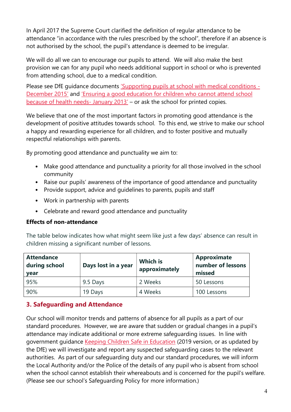In April 2017 the Supreme Court clarified the definition of regular attendance to be attendance "in accordance with the rules prescribed by the school", therefore if an absence is not authorised by the school, the pupil's attendance is deemed to be irregular.

We will do all we can to encourage our pupils to attend. We will also make the best provision we can for any pupil who needs additional support in school or who is prevented from attending school, due to a medical condition.

Please see DfE guidance documents 'Supporting pupils at school with medical conditions -December 2015' and 'Ensuring a good education for children who cannot attend school because of health needs- January 2013' – or ask the school for printed copies.

We believe that one of the most important factors in promoting good attendance is the development of positive attitudes towards school. To this end, we strive to make our school a happy and rewarding experience for all children, and to foster positive and mutually respectful relationships with parents.

By promoting good attendance and punctuality we aim to:

- Make good attendance and punctuality a priority for all those involved in the school community
- Raise our pupils' awareness of the importance of good attendance and punctuality
- Provide support, advice and guidelines to parents, pupils and staff
- Work in partnership with parents
- Celebrate and reward good attendance and punctuality

#### Effects of non-attendance

The table below indicates how what might seem like just a few days' absence can result in children missing a significant number of lessons.

| <b>Attendance</b><br>during school<br><b>vear</b> | Days lost in a year | <b>Which is</b><br>approximately | <b>Approximate</b><br>number of lessons<br>missed |
|---------------------------------------------------|---------------------|----------------------------------|---------------------------------------------------|
| 95%                                               | 9.5 Days            | 2 Weeks                          | 50 Lessons                                        |
| 90%                                               | 19 Days             | 4 Weeks                          | 100 Lessons                                       |

# 3. Safeguarding and Attendance

Our school will monitor trends and patterns of absence for all pupils as a part of our standard procedures. However, we are aware that sudden or gradual changes in a pupil's attendance may indicate additional or more extreme safeguarding issues. In line with government guidance Keeping Children Safe in Education (2019 version, or as updated by the DfE) we will investigate and report any suspected safeguarding cases to the relevant authorities. As part of our safeguarding duty and our standard procedures, we will inform the Local Authority and/or the Police of the details of any pupil who is absent from school when the school cannot establish their whereabouts and is concerned for the pupil's welfare. (Please see our school's Safeguarding Policy for more information.)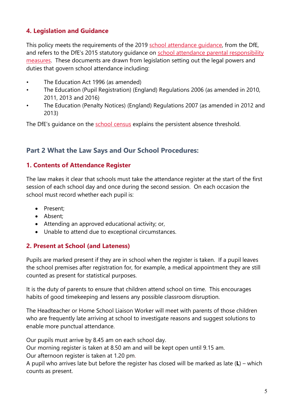# 4. Legislation and Guidance

This policy meets the requirements of the 2019 school attendance quidance, from the DfE, and refers to the DfE's 2015 statutory guidance on school attendance parental responsibility measures. These documents are drawn from legislation setting out the legal powers and duties that govern school attendance including:

- The Education Act 1996 (as amended)
- The Education (Pupil Registration) (England) Regulations 2006 (as amended in 2010, 2011, 2013 and 2016)
- The Education (Penalty Notices) (England) Regulations 2007 (as amended in 2012 and 2013)

The DfE's guidance on the school census explains the persistent absence threshold.

# Part 2 What the Law Says and Our School Procedures:

### 1. Contents of Attendance Register

The law makes it clear that schools must take the attendance register at the start of the first session of each school day and once during the second session. On each occasion the school must record whether each pupil is:

- Present;
- Absent;
- Attending an approved educational activity; or,
- Unable to attend due to exceptional circumstances.

# 2. Present at School (and Lateness)

Pupils are marked present if they are in school when the register is taken. If a pupil leaves the school premises after registration for, for example, a medical appointment they are still counted as present for statistical purposes.

It is the duty of parents to ensure that children attend school on time. This encourages habits of good timekeeping and lessens any possible classroom disruption.

The Headteacher or Home School Liaison Worker will meet with parents of those children who are frequently late arriving at school to investigate reasons and suggest solutions to enable more punctual attendance.

Our pupils must arrive by 8.45 am on each school day.

Our morning register is taken at 8.50 am and will be kept open until 9.15 am.

Our afternoon register is taken at 1.20 pm.

A pupil who arrives late but before the register has closed will be marked as late  $(L)$  – which counts as present.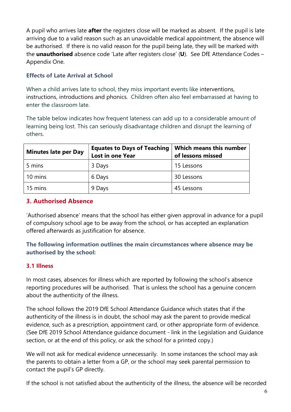A pupil who arrives late after the registers close will be marked as absent. If the pupil is late arriving due to a valid reason such as an unavoidable medical appointment, the absence will be authorised. If there is no valid reason for the pupil being late, they will be marked with the unauthorised absence code 'Late after registers close' (U). See DfE Attendance Codes -Appendix One.

#### Effects of Late Arrival at School

When a child arrives late to school, they miss important events like interventions, instructions, introductions and phonics. Children often also feel embarrassed at having to enter the classroom late.

The table below indicates how frequent lateness can add up to a considerable amount of learning being lost. This can seriously disadvantage children and disrupt the learning of others.

| <b>Minutes late per Day</b> | <b>Equates to Days of Teaching</b><br><b>Lost in one Year</b> | <b>Which means this number</b><br>of lessons missed |
|-----------------------------|---------------------------------------------------------------|-----------------------------------------------------|
| 5 mins                      | 3 Days                                                        | 15 Lessons                                          |
| 10 mins                     | 6 Days                                                        | 30 Lessons                                          |
| 15 mins                     | 9 Days                                                        | 45 Lessons                                          |

# 3. Authorised Absence

'Authorised absence' means that the school has either given approval in advance for a pupil of compulsory school age to be away from the school, or has accepted an explanation offered afterwards as justification for absence.

### The following information outlines the main circumstances where absence may be authorised by the school:

# 3.1 Illness

In most cases, absences for illness which are reported by following the school's absence reporting procedures will be authorised. That is unless the school has a genuine concern about the authenticity of the illness.

The school follows the 2019 DfE School Attendance Guidance which states that if the authenticity of the illness is in doubt, the school may ask the parent to provide medical evidence, such as a prescription, appointment card, or other appropriate form of evidence. (See DfE 2019 School Attendance guidance document - link in the Legislation and Guidance section, or at the end of this policy, or ask the school for a printed copy.)

We will not ask for medical evidence unnecessarily. In some instances the school may ask the parents to obtain a letter from a GP, or the school may seek parental permission to contact the pupil's GP directly.

If the school is not satisfied about the authenticity of the illness, the absence will be recorded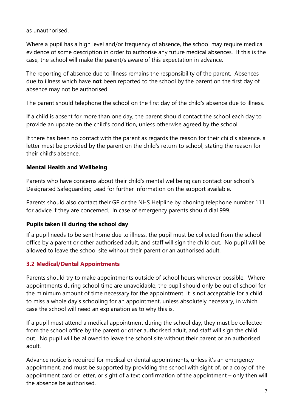as unauthorised.

Where a pupil has a high level and/or frequency of absence, the school may require medical evidence of some description in order to authorise any future medical absences. If this is the case, the school will make the parent/s aware of this expectation in advance.

The reporting of absence due to illness remains the responsibility of the parent. Absences due to illness which have not been reported to the school by the parent on the first day of absence may not be authorised.

The parent should telephone the school on the first day of the child's absence due to illness.

If a child is absent for more than one day, the parent should contact the school each day to provide an update on the child's condition, unless otherwise agreed by the school.

If there has been no contact with the parent as regards the reason for their child's absence, a letter must be provided by the parent on the child's return to school, stating the reason for their child's absence.

### Mental Health and Wellbeing

Parents who have concerns about their child's mental wellbeing can contact our school's Designated Safeguarding Lead for further information on the support available.

Parents should also contact their GP or the NHS Helpline by phoning telephone number 111 for advice if they are concerned. In case of emergency parents should dial 999.

#### Pupils taken ill during the school day

If a pupil needs to be sent home due to illness, the pupil must be collected from the school office by a parent or other authorised adult, and staff will sign the child out. No pupil will be allowed to leave the school site without their parent or an authorised adult.

# 3.2 Medical/Dental Appointments

Parents should try to make appointments outside of school hours wherever possible. Where appointments during school time are unavoidable, the pupil should only be out of school for the minimum amount of time necessary for the appointment. It is not acceptable for a child to miss a whole day's schooling for an appointment, unless absolutely necessary, in which case the school will need an explanation as to why this is.

If a pupil must attend a medical appointment during the school day, they must be collected from the school office by the parent or other authorised adult, and staff will sign the child out. No pupil will be allowed to leave the school site without their parent or an authorised adult.

Advance notice is required for medical or dental appointments, unless it's an emergency appointment, and must be supported by providing the school with sight of, or a copy of, the appointment card or letter, or sight of a text confirmation of the appointment – only then will the absence be authorised.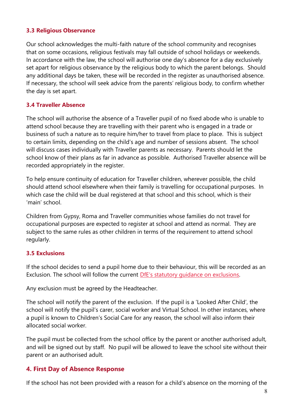#### 3.3 Religious Observance

Our school acknowledges the multi-faith nature of the school community and recognises that on some occasions, religious festivals may fall outside of school holidays or weekends. In accordance with the law, the school will authorise one day's absence for a day exclusively set apart for religious observance by the religious body to which the parent belongs. Should any additional days be taken, these will be recorded in the register as unauthorised absence. If necessary, the school will seek advice from the parents' religious body, to confirm whether the day is set apart.

#### 3.4 Traveller Absence

The school will authorise the absence of a Traveller pupil of no fixed abode who is unable to attend school because they are travelling with their parent who is engaged in a trade or business of such a nature as to require him/her to travel from place to place. This is subject to certain limits, depending on the child's age and number of sessions absent. The school will discuss cases individually with Traveller parents as necessary. Parents should let the school know of their plans as far in advance as possible. Authorised Traveller absence will be recorded appropriately in the register.

To help ensure continuity of education for Traveller children, wherever possible, the child should attend school elsewhere when their family is travelling for occupational purposes. In which case the child will be dual registered at that school and this school, which is their 'main' school.

Children from Gypsy, Roma and Traveller communities whose families do not travel for occupational purposes are expected to register at school and attend as normal. They are subject to the same rules as other children in terms of the requirement to attend school regularly.

#### 3.5 Exclusions

If the school decides to send a pupil home due to their behaviour, this will be recorded as an Exclusion. The school will follow the current DfE's statutory guidance on exclusions.

Any exclusion must be agreed by the Headteacher.

The school will notify the parent of the exclusion. If the pupil is a 'Looked After Child', the school will notify the pupil's carer, social worker and Virtual School. In other instances, where a pupil is known to Children's Social Care for any reason, the school will also inform their allocated social worker.

The pupil must be collected from the school office by the parent or another authorised adult, and will be signed out by staff. No pupil will be allowed to leave the school site without their parent or an authorised adult.

#### 4. First Day of Absence Response

If the school has not been provided with a reason for a child's absence on the morning of the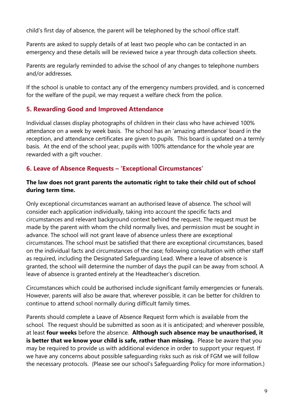child's first day of absence, the parent will be telephoned by the school office staff.

Parents are asked to supply details of at least two people who can be contacted in an emergency and these details will be reviewed twice a year through data collection sheets.

Parents are regularly reminded to advise the school of any changes to telephone numbers and/or addresses.

If the school is unable to contact any of the emergency numbers provided, and is concerned for the welfare of the pupil, we may request a welfare check from the police.

### 5. Rewarding Good and Improved Attendance

Individual classes display photographs of children in their class who have achieved 100% attendance on a week by week basis. The school has an 'amazing attendance' board in the reception, and attendance certificates are given to pupils. This board is updated on a termly basis. At the end of the school year, pupils with 100% attendance for the whole year are rewarded with a gift voucher.

### 6. Leave of Absence Requests – 'Exceptional Circumstances'

#### The law does not grant parents the automatic right to take their child out of school during term time.

Only exceptional circumstances warrant an authorised leave of absence. The school will consider each application individually, taking into account the specific facts and circumstances and relevant background context behind the request. The request must be made by the parent with whom the child normally lives, and permission must be sought in advance. The school will not grant leave of absence unless there are exceptional circumstances. The school must be satisfied that there are exceptional circumstances, based on the individual facts and circumstances of the case; following consultation with other staff as required, including the Designated Safeguarding Lead. Where a leave of absence is granted, the school will determine the number of days the pupil can be away from school. A leave of absence is granted entirely at the Headteacher's discretion.

Circumstances which could be authorised include significant family emergencies or funerals. However, parents will also be aware that, wherever possible, it can be better for children to continue to attend school normally during difficult family times.

Parents should complete a Leave of Absence Request form which is available from the school. The request should be submitted as soon as it is anticipated; and wherever possible, at least four weeks before the absence. Although such absence may be unauthorised, it is better that we know your child is safe, rather than missing. Please be aware that you may be required to provide us with additional evidence in order to support your request. If we have any concerns about possible safeguarding risks such as risk of FGM we will follow the necessary protocols. (Please see our school's Safeguarding Policy for more information.)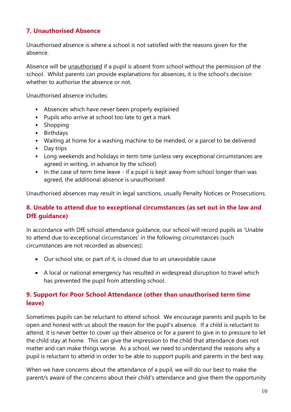# 7. Unauthorised Absence

Unauthorised absence is where a school is not satisfied with the reasons given for the absence.

Absence will be unauthorised if a pupil is absent from school without the permission of the school. Whilst parents can provide explanations for absences, it is the school's decision whether to authorise the absence or not.

Unauthorised absence includes:

- Absences which have never been properly explained
- Pupils who arrive at school too late to get a mark
- Shopping
- Birthdays
- Waiting at home for a washing machine to be mended, or a parcel to be delivered
- Day trips
- Long weekends and holidays in term time (unless very exceptional circumstances are agreed in writing, in advance by the school)
- In the case of term time leave if a pupil is kept away from school longer than was agreed, the additional absence is unauthorised

Unauthorised absences may result in legal sanctions, usually Penalty Notices or Prosecutions.

# 8. Unable to attend due to exceptional circumstances (as set out in the law and DfE guidance)

In accordance with DfE school attendance guidance, our school will record pupils as 'Unable to attend due to exceptional circumstances' in the following circumstances (such circumstances are not recorded as absences):

- Our school site, or part of it, is closed due to an unavoidable cause
- A local or national emergency has resulted in widespread disruption to travel which has prevented the pupil from attending school.

# 9. Support for Poor School Attendance (other than unauthorised term time leave)

Sometimes pupils can be reluctant to attend school. We encourage parents and pupils to be open and honest with us about the reason for the pupil's absence. If a child is reluctant to attend, it is never better to cover up their absence or for a parent to give in to pressure to let the child stay at home. This can give the impression to the child that attendance does not matter and can make things worse. As a school, we need to understand the reasons why a pupil is reluctant to attend in order to be able to support pupils and parents in the best way.

When we have concerns about the attendance of a pupil, we will do our best to make the parent/s aware of the concerns about their child's attendance and give them the opportunity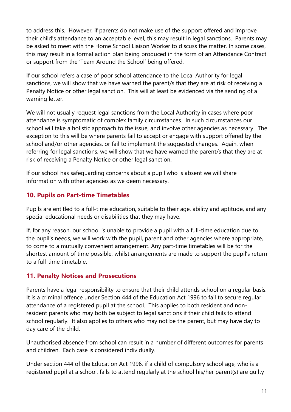to address this. However, if parents do not make use of the support offered and improve their child's attendance to an acceptable level, this may result in legal sanctions. Parents may be asked to meet with the Home School Liaison Worker to discuss the matter. In some cases, this may result in a formal action plan being produced in the form of an Attendance Contract or support from the 'Team Around the School' being offered.

If our school refers a case of poor school attendance to the Local Authority for legal sanctions, we will show that we have warned the parent/s that they are at risk of receiving a Penalty Notice or other legal sanction. This will at least be evidenced via the sending of a warning letter.

We will not usually request legal sanctions from the Local Authority in cases where poor attendance is symptomatic of complex family circumstances. In such circumstances our school will take a holistic approach to the issue, and involve other agencies as necessary. The exception to this will be where parents fail to accept or engage with support offered by the school and/or other agencies, or fail to implement the suggested changes. Again, when referring for legal sanctions, we will show that we have warned the parent/s that they are at risk of receiving a Penalty Notice or other legal sanction.

If our school has safeguarding concerns about a pupil who is absent we will share information with other agencies as we deem necessary.

# 10. Pupils on Part-time Timetables

Pupils are entitled to a full-time education, suitable to their age, ability and aptitude, and any special educational needs or disabilities that they may have.

If, for any reason, our school is unable to provide a pupil with a full-time education due to the pupil's needs, we will work with the pupil, parent and other agencies where appropriate, to come to a mutually convenient arrangement. Any part-time timetables will be for the shortest amount of time possible, whilst arrangements are made to support the pupil's return to a full-time timetable.

# 11. Penalty Notices and Prosecutions

Parents have a legal responsibility to ensure that their child attends school on a regular basis. It is a criminal offence under Section 444 of the Education Act 1996 to fail to secure regular attendance of a registered pupil at the school. This applies to both resident and nonresident parents who may both be subject to legal sanctions if their child fails to attend school regularly. It also applies to others who may not be the parent, but may have day to day care of the child.

Unauthorised absence from school can result in a number of different outcomes for parents and children. Each case is considered individually.

Under section 444 of the Education Act 1996, if a child of compulsory school age, who is a registered pupil at a school, fails to attend regularly at the school his/her parent(s) are guilty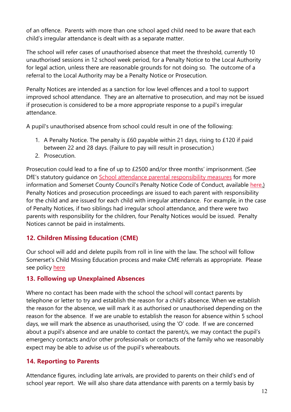of an offence. Parents with more than one school aged child need to be aware that each child's irregular attendance is dealt with as a separate matter.

The school will refer cases of unauthorised absence that meet the threshold, currently 10 unauthorised sessions in 12 school week period, for a Penalty Notice to the Local Authority for legal action, unless there are reasonable grounds for not doing so. The outcome of a referral to the Local Authority may be a Penalty Notice or Prosecution.

Penalty Notices are intended as a sanction for low level offences and a tool to support improved school attendance. They are an alternative to prosecution, and may not be issued if prosecution is considered to be a more appropriate response to a pupil's irregular attendance.

A pupil's unauthorised absence from school could result in one of the following:

- 1. A Penalty Notice. The penalty is £60 payable within 21 days, rising to £120 if paid between 22 and 28 days. (Failure to pay will result in prosecution.)
- 2. Prosecution.

Prosecution could lead to a fine of up to £2500 and/or three months' imprisonment. (See DfE's statutory guidance on School attendance parental responsibility measures for more information and Somerset County Council's Penalty Notice Code of Conduct, available here.) Penalty Notices and prosecution proceedings are issued to each parent with responsibility for the child and are issued for each child with irregular attendance. For example, in the case of Penalty Notices, if two siblings had irregular school attendance, and there were two parents with responsibility for the children, four Penalty Notices would be issued. Penalty Notices cannot be paid in instalments.

# 12. Children Missing Education (CME)

Our school will add and delete pupils from roll in line with the law. The school will follow Somerset's Child Missing Education process and make CME referrals as appropriate. Please see policy here

# 13. Following up Unexplained Absences

Where no contact has been made with the school the school will contact parents by telephone or letter to try and establish the reason for a child's absence. When we establish the reason for the absence, we will mark it as authorised or unauthorised depending on the reason for the absence. If we are unable to establish the reason for absence within 5 school days, we will mark the absence as unauthorised, using the 'O' code. If we are concerned about a pupil's absence and are unable to contact the parent/s, we may contact the pupil's emergency contacts and/or other professionals or contacts of the family who we reasonably expect may be able to advise us of the pupil's whereabouts.

# 14. Reporting to Parents

Attendance figures, including late arrivals, are provided to parents on their child's end of school year report. We will also share data attendance with parents on a termly basis by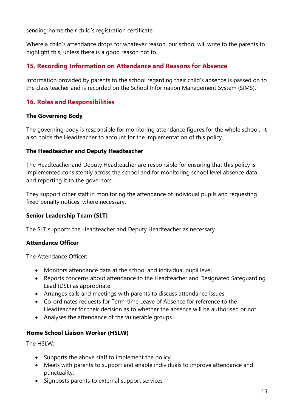sending home their child's registration certificate.

Where a child's attendance drops for whatever reason, our school will write to the parents to highlight this, unless there is a good reason not to.

# 15. Recording Information on Attendance and Reasons for Absence

Information provided by parents to the school regarding their child's absence is passed on to the class teacher and is recorded on the School Information Management System (SIMS).

# 16. Roles and Responsibilities

#### The Governing Body

The governing body is responsible for monitoring attendance figures for the whole school. It also holds the Headteacher to account for the implementation of this policy.

#### The Headteacher and Deputy Headteacher

The Headteacher and Deputy Headteacher are responsible for ensuring that this policy is implemented consistently across the school and for monitoring school level absence data and reporting it to the governors.

They support other staff in monitoring the attendance of individual pupils and requesting fixed penalty notices, where necessary.

#### Senior Leadership Team (SLT)

The SLT supports the Headteacher and Deputy Headteacher as necessary.

#### Attendance Officer

The Attendance Officer:

- Monitors attendance data at the school and individual pupil level.
- Reports concerns about attendance to the Headteacher and Designated Safeguarding Lead (DSL) as appropriate.
- Arranges calls and meetings with parents to discuss attendance issues.
- Co-ordinates requests for Term-time Leave of Absence for reference to the Headteacher for their decision as to whether the absence will be authorised or not.
- Analyses the attendance of the vulnerable groups.

#### Home School Liaison Worker (HSLW)

The HSLW<sup>.</sup>

- Supports the above staff to implement the policy.
- Meets with parents to support and enable individuals to improve attendance and punctuality.
- Signposts parents to external support services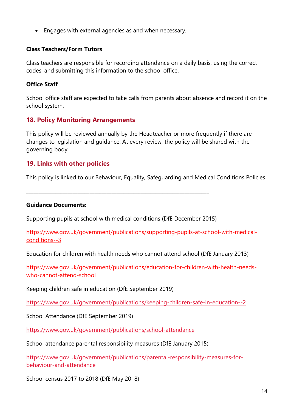Engages with external agencies as and when necessary.

#### Class Teachers/Form Tutors

Class teachers are responsible for recording attendance on a daily basis, using the correct codes, and submitting this information to the school office.

#### Office Staff

School office staff are expected to take calls from parents about absence and record it on the school system.

### 18. Policy Monitoring Arrangements

This policy will be reviewed annually by the Headteacher or more frequently if there are changes to legislation and guidance. At every review, the policy will be shared with the governing body.

#### 19. Links with other policies

This policy is linked to our Behaviour, Equality, Safeguarding and Medical Conditions Policies.

#### Guidance Documents:

Supporting pupils at school with medical conditions (DfE December 2015)

\_\_\_\_\_\_\_\_\_\_\_\_\_\_\_\_\_\_\_\_\_\_\_\_\_\_\_\_\_\_\_\_\_\_\_\_\_\_\_\_\_\_\_\_\_\_\_\_\_\_\_\_\_\_\_\_\_\_\_\_\_\_\_\_\_\_\_\_\_\_\_\_\_\_\_

https://www.gov.uk/government/publications/supporting-pupils-at-school-with-medicalconditions--3

Education for children with health needs who cannot attend school (DfE January 2013)

https://www.gov.uk/government/publications/education-for-children-with-health-needswho-cannot-attend-school

Keeping children safe in education (DfE September 2019)

https://www.gov.uk/government/publications/keeping-children-safe-in-education--2

School Attendance (DfE September 2019)

https://www.gov.uk/government/publications/school-attendance

School attendance parental responsibility measures (DfE January 2015)

https://www.gov.uk/government/publications/parental-responsibility-measures-forbehaviour-and-attendance

School census 2017 to 2018 (DfE May 2018)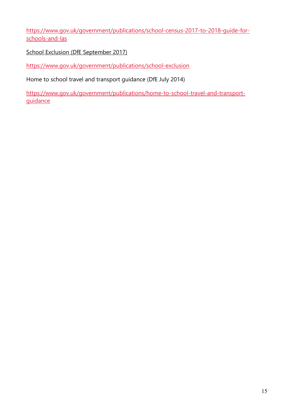https://www.gov.uk/government/publications/school-census-2017-to-2018-guide-forschools-and-las

School Exclusion (DfE September 2017)

https://www.gov.uk/government/publications/school-exclusion

Home to school travel and transport guidance (DfE July 2014)

https://www.gov.uk/government/publications/home-to-school-travel-and-transportguidance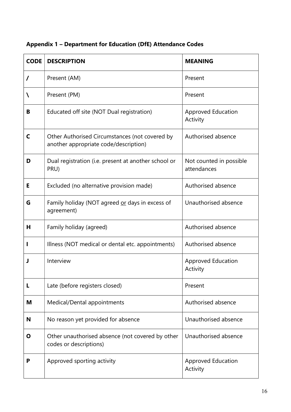| <b>CODE</b> | <b>DESCRIPTION</b>                                                                      | <b>MEANING</b>                         |
|-------------|-----------------------------------------------------------------------------------------|----------------------------------------|
| $\prime$    | Present (AM)                                                                            | Present                                |
| N           | Present (PM)                                                                            | Present                                |
| В           | Educated off site (NOT Dual registration)                                               | <b>Approved Education</b><br>Activity  |
| C           | Other Authorised Circumstances (not covered by<br>another appropriate code/description) | Authorised absence                     |
| D           | Dual registration (i.e. present at another school or<br>PRU)                            | Not counted in possible<br>attendances |
| Е           | Excluded (no alternative provision made)                                                | Authorised absence                     |
| G           | Family holiday (NOT agreed or days in excess of<br>agreement)                           | Unauthorised absence                   |
| Н           | Family holiday (agreed)                                                                 | Authorised absence                     |
|             | Illness (NOT medical or dental etc. appointments)                                       | Authorised absence                     |
|             | Interview                                                                               | <b>Approved Education</b><br>Activity  |
| L           | Late (before registers closed)                                                          | Present                                |
| M           | Medical/Dental appointments                                                             | Authorised absence                     |
| N           | No reason yet provided for absence                                                      | Unauthorised absence                   |
| Ο           | Other unauthorised absence (not covered by other<br>codes or descriptions)              | Unauthorised absence                   |
| P           | Approved sporting activity                                                              | Approved Education<br>Activity         |

# Appendix 1 – Department for Education (DfE) Attendance Codes